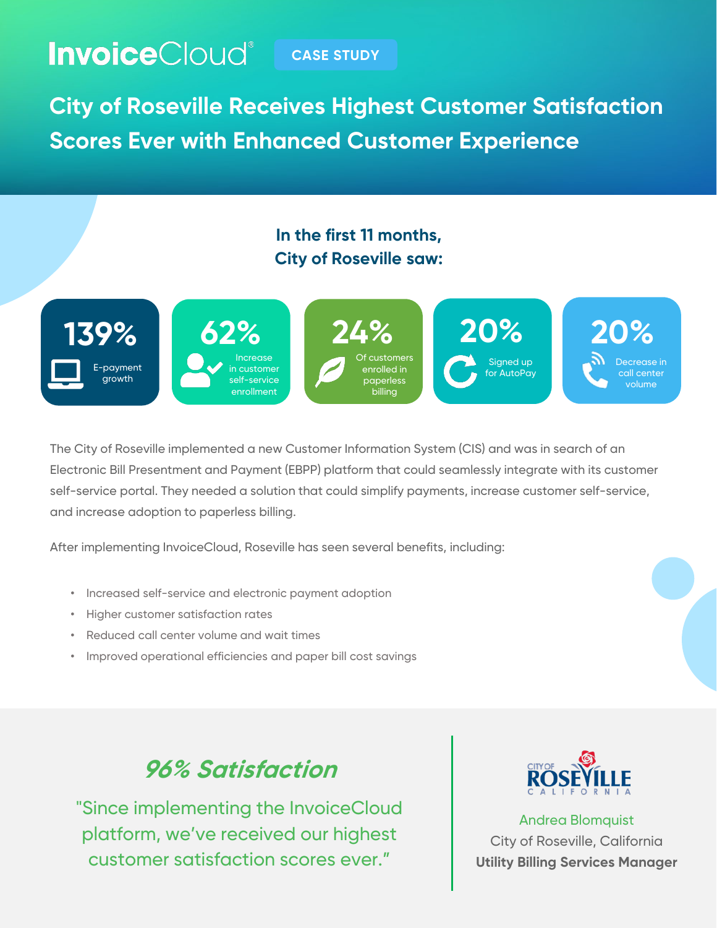# **Invoice**Cloud® CASE STUDY

**City of Roseville Receives Highest Customer Satisfaction Scores Ever with Enhanced Customer Experience**

#### **In the first 11 months, City of Roseville saw:**



The City of Roseville implemented a new Customer Information System (CIS) and was in search of an Electronic Bill Presentment and Payment (EBPP) platform that could seamlessly integrate with its customer self-service portal. They needed a solution that could simplify payments, increase customer self-service, and increase adoption to paperless billing.

After implementing InvoiceCloud, Roseville has seen several benefits, including:

- Increased self-service and electronic payment adoption
- Higher customer satisfaction rates
- Reduced call center volume and wait times
- Improved operational efficiencies and paper bill cost savings

# **96% Satisfaction**

"Since implementing the InvoiceCloud platform, we've received our highest customer satisfaction scores ever."



Andrea Blomquist City of Roseville, California **Utility Billing Services Manager**